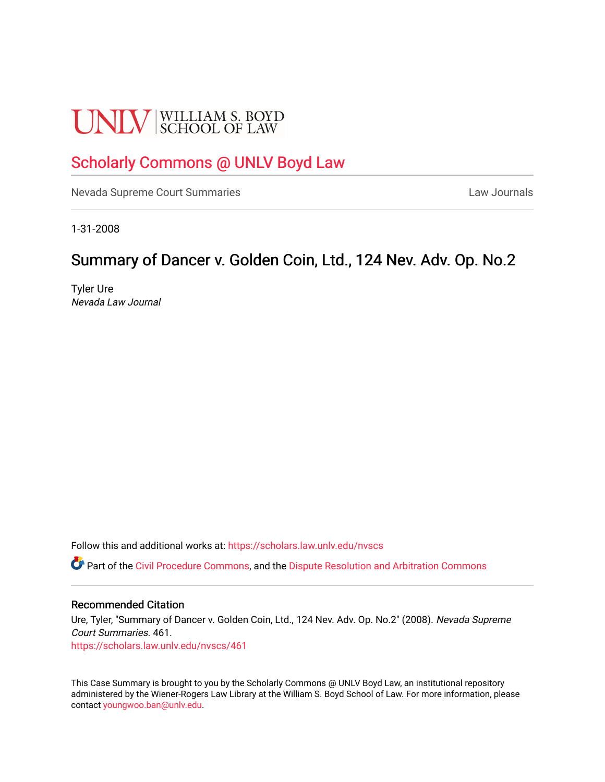# **UNLV** SCHOOL OF LAW

## [Scholarly Commons @ UNLV Boyd Law](https://scholars.law.unlv.edu/)

[Nevada Supreme Court Summaries](https://scholars.law.unlv.edu/nvscs) **Law Journals** Law Journals

1-31-2008

## Summary of Dancer v. Golden Coin, Ltd., 124 Nev. Adv. Op. No.2

Tyler Ure Nevada Law Journal

Follow this and additional works at: [https://scholars.law.unlv.edu/nvscs](https://scholars.law.unlv.edu/nvscs?utm_source=scholars.law.unlv.edu%2Fnvscs%2F461&utm_medium=PDF&utm_campaign=PDFCoverPages)

Part of the [Civil Procedure Commons,](http://network.bepress.com/hgg/discipline/584?utm_source=scholars.law.unlv.edu%2Fnvscs%2F461&utm_medium=PDF&utm_campaign=PDFCoverPages) and the [Dispute Resolution and Arbitration Commons](http://network.bepress.com/hgg/discipline/890?utm_source=scholars.law.unlv.edu%2Fnvscs%2F461&utm_medium=PDF&utm_campaign=PDFCoverPages) 

#### Recommended Citation

Ure, Tyler, "Summary of Dancer v. Golden Coin, Ltd., 124 Nev. Adv. Op. No.2" (2008). Nevada Supreme Court Summaries. 461. [https://scholars.law.unlv.edu/nvscs/461](https://scholars.law.unlv.edu/nvscs/461?utm_source=scholars.law.unlv.edu%2Fnvscs%2F461&utm_medium=PDF&utm_campaign=PDFCoverPages)

This Case Summary is brought to you by the Scholarly Commons @ UNLV Boyd Law, an institutional repository administered by the Wiener-Rogers Law Library at the William S. Boyd School of Law. For more information, please contact [youngwoo.ban@unlv.edu](mailto:youngwoo.ban@unlv.edu).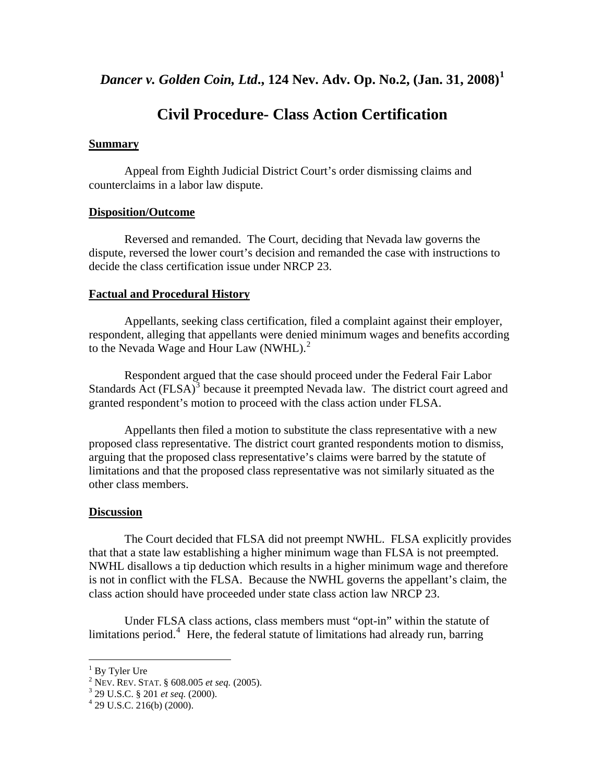### **Civil Procedure- Class Action Certification**

#### **Summary**

Appeal from Eighth Judicial District Court's order dismissing claims and counterclaims in a labor law dispute.

#### **Disposition/Outcome**

 Reversed and remanded. The Court, deciding that Nevada law governs the dispute, reversed the lower court's decision and remanded the case with instructions to decide the class certification issue under NRCP 23.

#### **Factual and Procedural History**

 Appellants, seeking class certification, filed a complaint against their employer, respondent, alleging that appellants were denied minimum wages and benefits according to the Nevada Wage and Hour Law (NWHL).<sup>[2](#page-1-1)</sup>

 Respondent argued that the case should proceed under the Federal Fair Labor Standards  $\overrightarrow{Act}$  (FLSA)<sup>[3](#page-1-2)</sup> because it preempted Nevada law. The district court agreed and granted respondent's motion to proceed with the class action under FLSA.

 Appellants then filed a motion to substitute the class representative with a new proposed class representative. The district court granted respondents motion to dismiss, arguing that the proposed class representative's claims were barred by the statute of limitations and that the proposed class representative was not similarly situated as the other class members.

#### **Discussion**

 The Court decided that FLSA did not preempt NWHL. FLSA explicitly provides that that a state law establishing a higher minimum wage than FLSA is not preempted. NWHL disallows a tip deduction which results in a higher minimum wage and therefore is not in conflict with the FLSA. Because the NWHL governs the appellant's claim, the class action should have proceeded under state class action law NRCP 23.

 Under FLSA class actions, class members must "opt-in" within the statute of limitations period.<sup>[4](#page-1-3)</sup> Here, the federal statute of limitations had already run, barring

 1 By Tyler Ure

<span id="page-1-2"></span><span id="page-1-1"></span><span id="page-1-0"></span><sup>&</sup>lt;sup>2</sup> NEV. REV. STAT. § 608.005 *et seq.* (2005).

<sup>&</sup>lt;sup>3</sup> 29 U.S.C. § 201 *et seq.* (2000).<br><sup>4</sup> 29 U.S.C. 216(b) (2000).

<span id="page-1-3"></span>